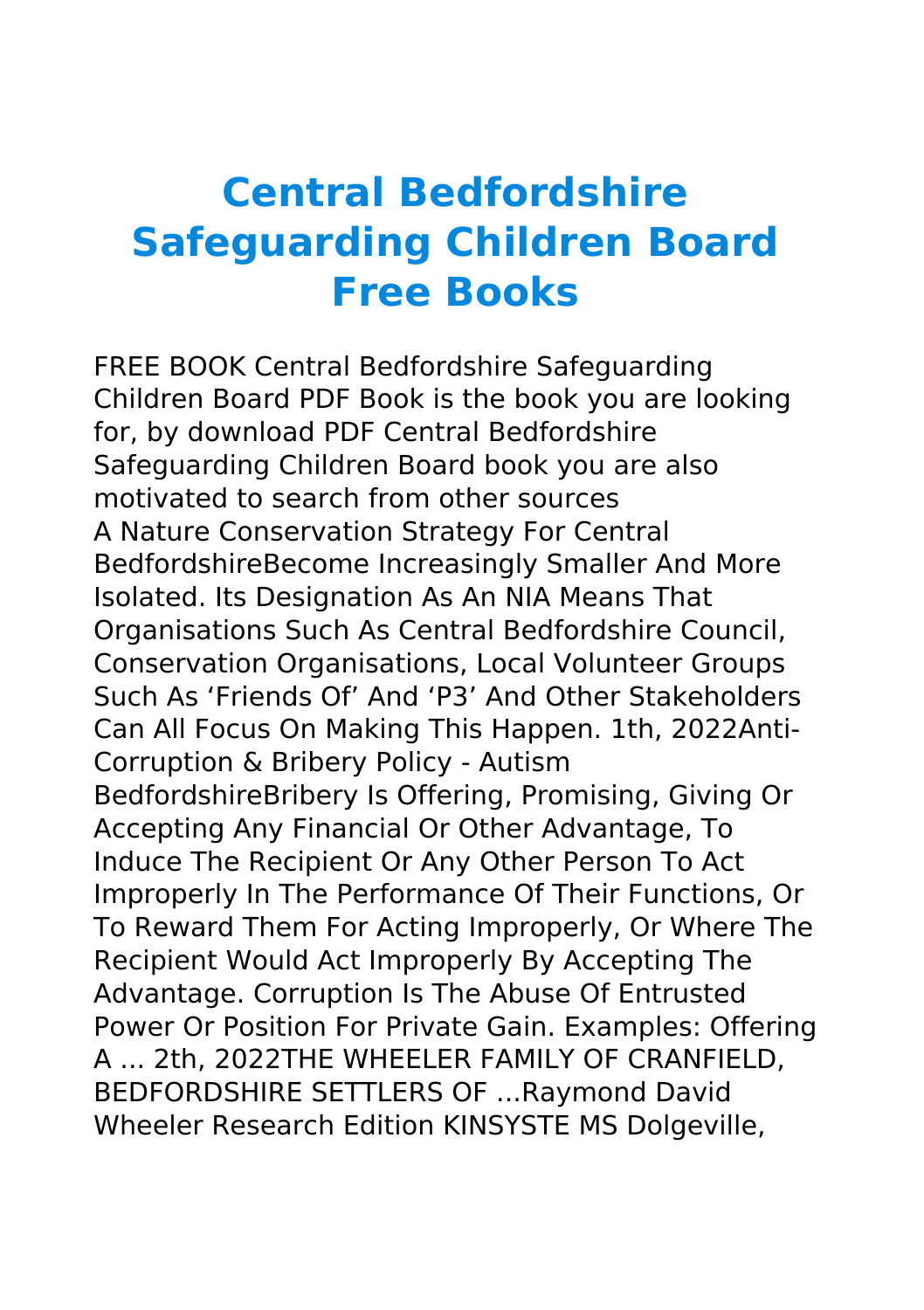## **Central Bedfordshire Safeguarding Children Board Free Books**

FREE BOOK Central Bedfordshire Safeguarding Children Board PDF Book is the book you are looking for, by download PDF Central Bedfordshire Safeguarding Children Board book you are also motivated to search from other sources A Nature Conservation Strategy For Central BedfordshireBecome Increasingly Smaller And More Isolated. Its Designation As An NIA Means That Organisations Such As Central Bedfordshire Council, Conservation Organisations, Local Volunteer Groups Such As 'Friends Of' And 'P3' And Other Stakeholders Can All Focus On Making This Happen. 1th, 2022Anti-Corruption & Bribery Policy - Autism BedfordshireBribery Is Offering, Promising, Giving Or Accepting Any Financial Or Other Advantage, To Induce The Recipient Or Any Other Person To Act Improperly In The Performance Of Their Functions, Or To Reward Them For Acting Improperly, Or Where The Recipient Would Act Improperly By Accepting The Advantage. Corruption Is The Abuse Of Entrusted Power Or Position For Private Gain. Examples: Offering A ... 2th, 2022THE WHEELER FAMILY OF CRANFIELD, BEDFORDSHIRE SETTLERS OF ...Raymond David Wheeler Research Edition KINSYSTE MS Dolgeville,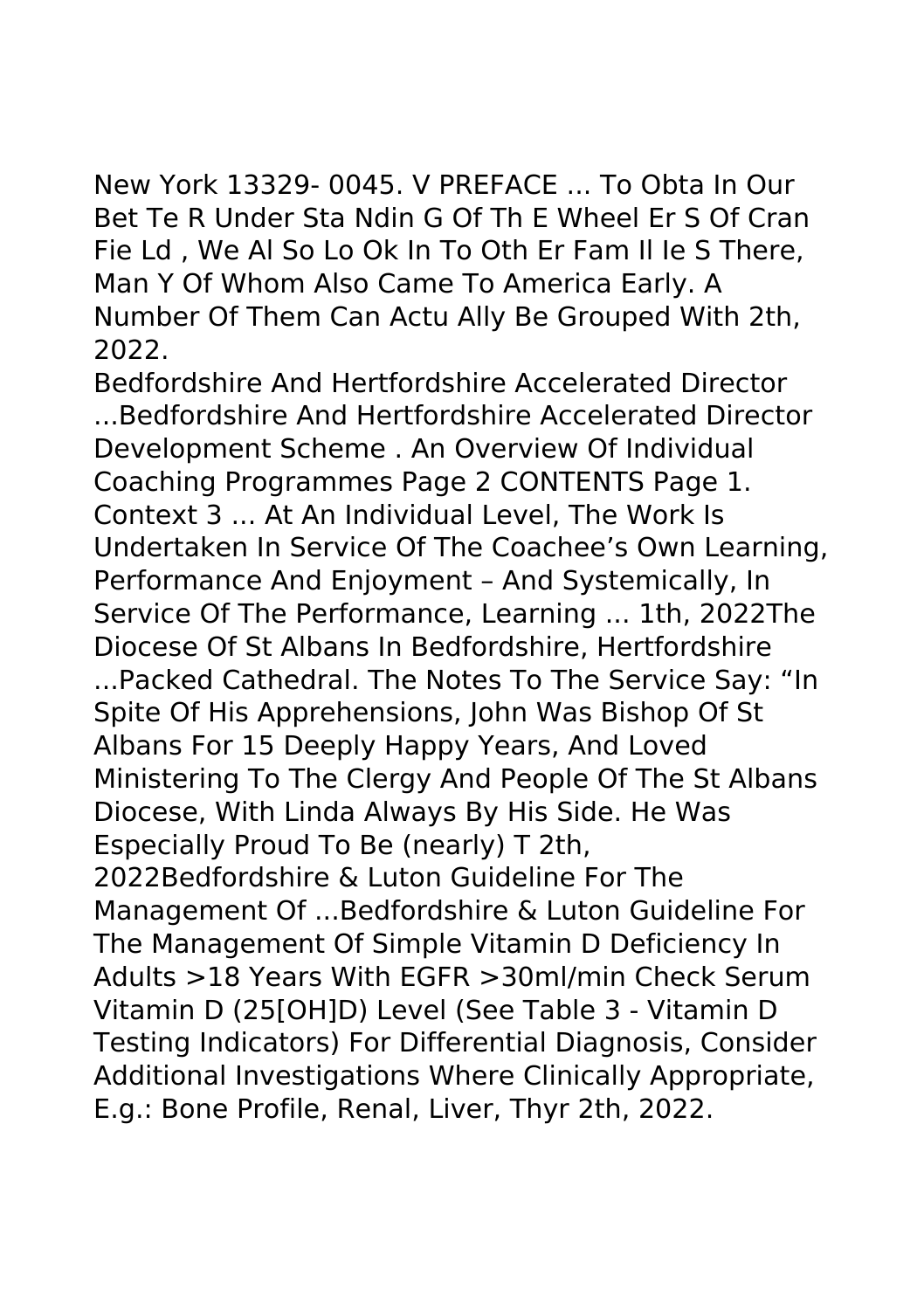New York 13329- 0045. V PREFACE ... To Obta In Our Bet Te R Under Sta Ndin G Of Th E Wheel Er S Of Cran Fie Ld , We Al So Lo Ok In To Oth Er Fam Il Ie S There, Man Y Of Whom Also Came To America Early. A Number Of Them Can Actu Ally Be Grouped With 2th, 2022.

Bedfordshire And Hertfordshire Accelerated Director ...Bedfordshire And Hertfordshire Accelerated Director Development Scheme . An Overview Of Individual Coaching Programmes Page 2 CONTENTS Page 1. Context 3 ... At An Individual Level, The Work Is Undertaken In Service Of The Coachee's Own Learning, Performance And Enjoyment – And Systemically, In Service Of The Performance, Learning ... 1th, 2022The Diocese Of St Albans In Bedfordshire, Hertfordshire ...Packed Cathedral. The Notes To The Service Say: "In Spite Of His Apprehensions, John Was Bishop Of St Albans For 15 Deeply Happy Years, And Loved Ministering To The Clergy And People Of The St Albans Diocese, With Linda Always By His Side. He Was Especially Proud To Be (nearly) T 2th, 2022Bedfordshire & Luton Guideline For The Management Of ...Bedfordshire & Luton Guideline For The Management Of Simple Vitamin D Deficiency In Adults >18 Years With EGFR >30ml/min Check Serum Vitamin D (25[OH]D) Level (See Table 3 - Vitamin D Testing Indicators) For Differential Diagnosis, Consider Additional Investigations Where Clinically Appropriate, E.g.: Bone Profile, Renal, Liver, Thyr 2th, 2022.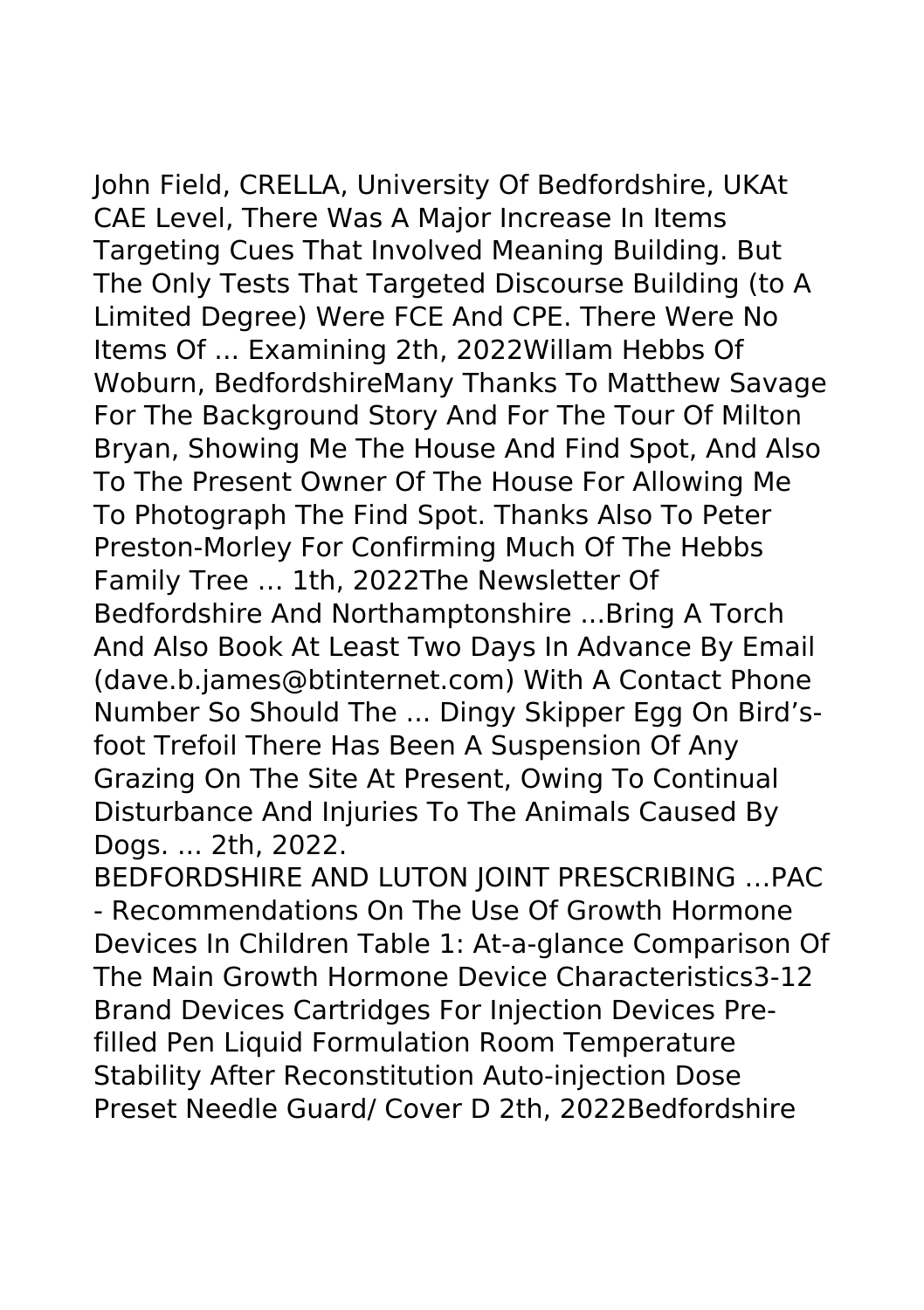John Field, CRELLA, University Of Bedfordshire, UKAt

CAE Level, There Was A Major Increase In Items Targeting Cues That Involved Meaning Building. But The Only Tests That Targeted Discourse Building (to A Limited Degree) Were FCE And CPE. There Were No Items Of ... Examining 2th, 2022Willam Hebbs Of Woburn, BedfordshireMany Thanks To Matthew Savage For The Background Story And For The Tour Of Milton Bryan, Showing Me The House And Find Spot, And Also To The Present Owner Of The House For Allowing Me To Photograph The Find Spot. Thanks Also To Peter Preston-Morley For Confirming Much Of The Hebbs Family Tree … 1th, 2022The Newsletter Of Bedfordshire And Northamptonshire ...Bring A Torch And Also Book At Least Two Days In Advance By Email (dave.b.james@btinternet.com) With A Contact Phone Number So Should The ... Dingy Skipper Egg On Bird'sfoot Trefoil There Has Been A Suspension Of Any Grazing On The Site At Present, Owing To Continual Disturbance And Injuries To The Animals Caused By Dogs. ... 2th, 2022.

BEDFORDSHIRE AND LUTON JOINT PRESCRIBING …PAC - Recommendations On The Use Of Growth Hormone Devices In Children Table 1: At-a-glance Comparison Of The Main Growth Hormone Device Characteristics3-12 Brand Devices Cartridges For Injection Devices Prefilled Pen Liquid Formulation Room Temperature Stability After Reconstitution Auto-injection Dose Preset Needle Guard/ Cover D 2th, 2022Bedfordshire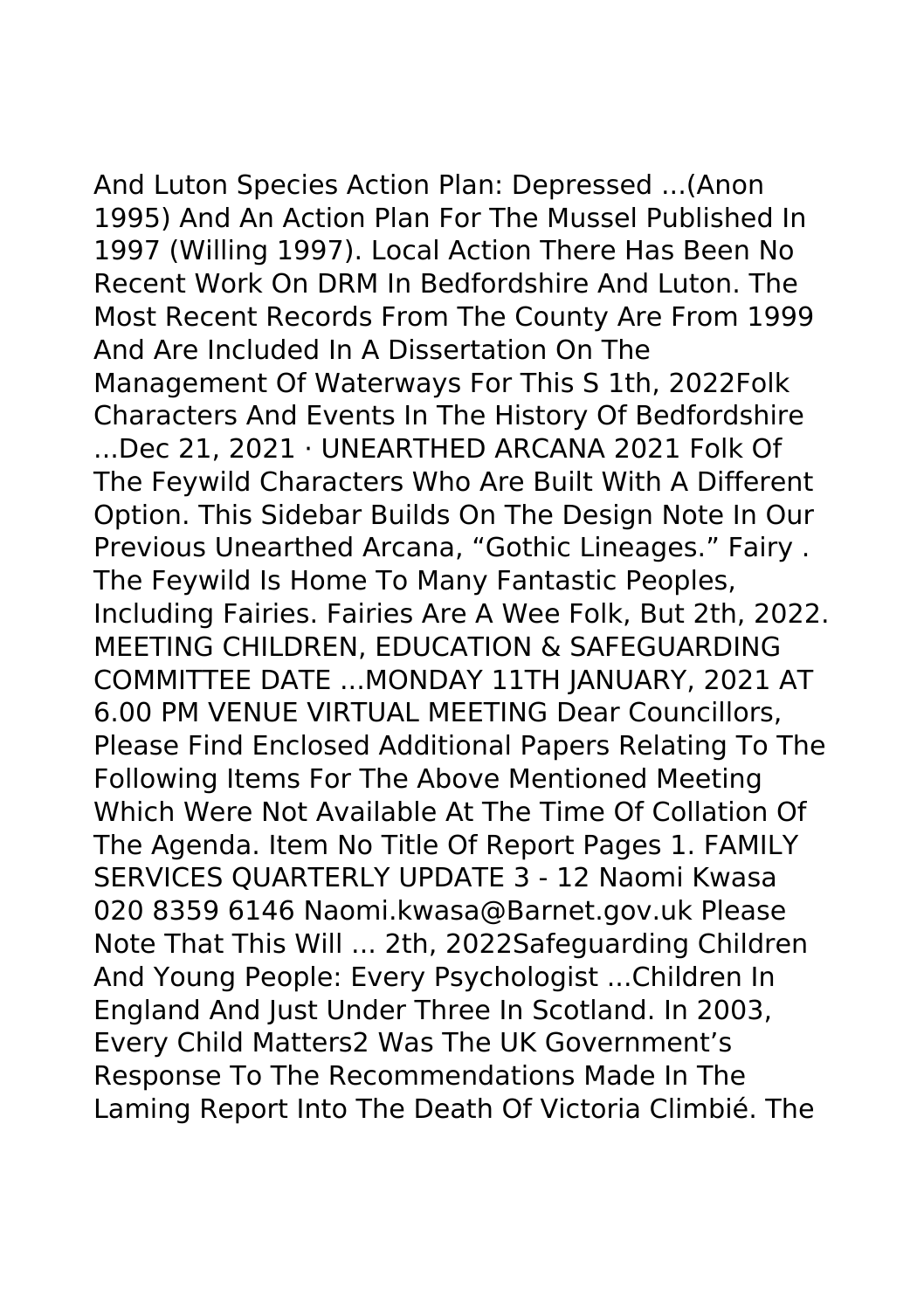And Luton Species Action Plan: Depressed ...(Anon 1995) And An Action Plan For The Mussel Published In 1997 (Willing 1997). Local Action There Has Been No Recent Work On DRM In Bedfordshire And Luton. The Most Recent Records From The County Are From 1999 And Are Included In A Dissertation On The Management Of Waterways For This S 1th, 2022Folk Characters And Events In The History Of Bedfordshire ...Dec 21, 2021 · UNEARTHED ARCANA 2021 Folk Of The Feywild Characters Who Are Built With A Different Option. This Sidebar Builds On The Design Note In Our Previous Unearthed Arcana, "Gothic Lineages." Fairy . The Feywild Is Home To Many Fantastic Peoples, Including Fairies. Fairies Are A Wee Folk, But 2th, 2022. MEETING CHILDREN, EDUCATION & SAFEGUARDING COMMITTEE DATE ...MONDAY 11TH JANUARY, 2021 AT 6.00 PM VENUE VIRTUAL MEETING Dear Councillors, Please Find Enclosed Additional Papers Relating To The Following Items For The Above Mentioned Meeting Which Were Not Available At The Time Of Collation Of The Agenda. Item No Title Of Report Pages 1. FAMILY SERVICES QUARTERLY UPDATE 3 - 12 Naomi Kwasa 020 8359 6146 Naomi.kwasa@Barnet.gov.uk Please Note That This Will ... 2th, 2022Safeguarding Children And Young People: Every Psychologist ...Children In England And Just Under Three In Scotland. In 2003, Every Child Matters2 Was The UK Government's Response To The Recommendations Made In The Laming Report Into The Death Of Victoria Climbié. The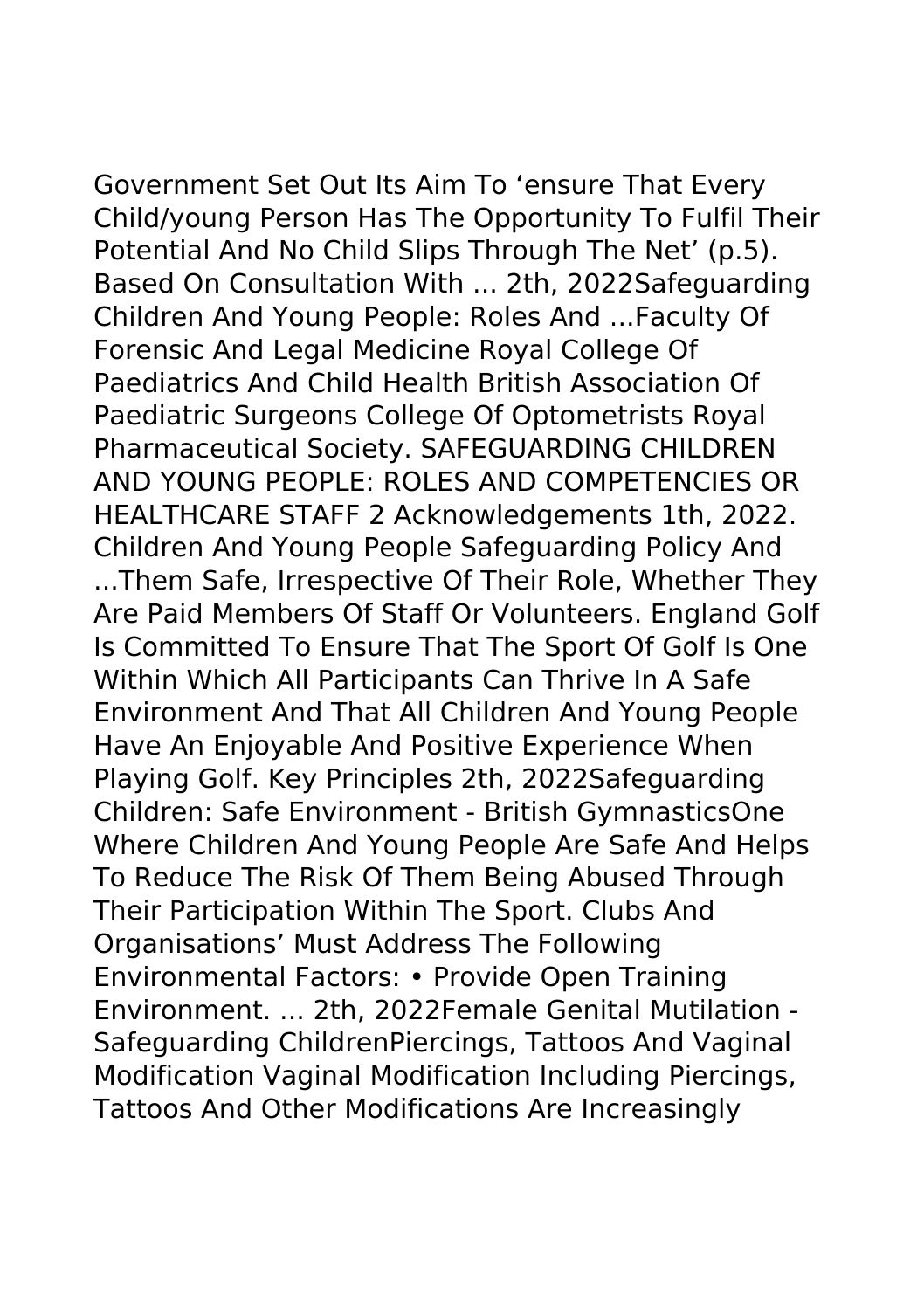Government Set Out Its Aim To 'ensure That Every Child/young Person Has The Opportunity To Fulfil Their Potential And No Child Slips Through The Net' (p.5). Based On Consultation With ... 2th, 2022Safeguarding Children And Young People: Roles And ...Faculty Of Forensic And Legal Medicine Royal College Of Paediatrics And Child Health British Association Of Paediatric Surgeons College Of Optometrists Royal Pharmaceutical Society. SAFEGUARDING CHILDREN AND YOUNG PEOPLE: ROLES AND COMPETENCIES OR HEALTHCARE STAFF 2 Acknowledgements 1th, 2022. Children And Young People Safeguarding Policy And ...Them Safe, Irrespective Of Their Role, Whether They Are Paid Members Of Staff Or Volunteers. England Golf Is Committed To Ensure That The Sport Of Golf Is One Within Which All Participants Can Thrive In A Safe Environment And That All Children And Young People Have An Enjoyable And Positive Experience When Playing Golf. Key Principles 2th, 2022Safeguarding Children: Safe Environment - British GymnasticsOne Where Children And Young People Are Safe And Helps To Reduce The Risk Of Them Being Abused Through Their Participation Within The Sport. Clubs And Organisations' Must Address The Following Environmental Factors: • Provide Open Training Environment. ... 2th, 2022Female Genital Mutilation - Safeguarding ChildrenPiercings, Tattoos And Vaginal Modification Vaginal Modification Including Piercings, Tattoos And Other Modifications Are Increasingly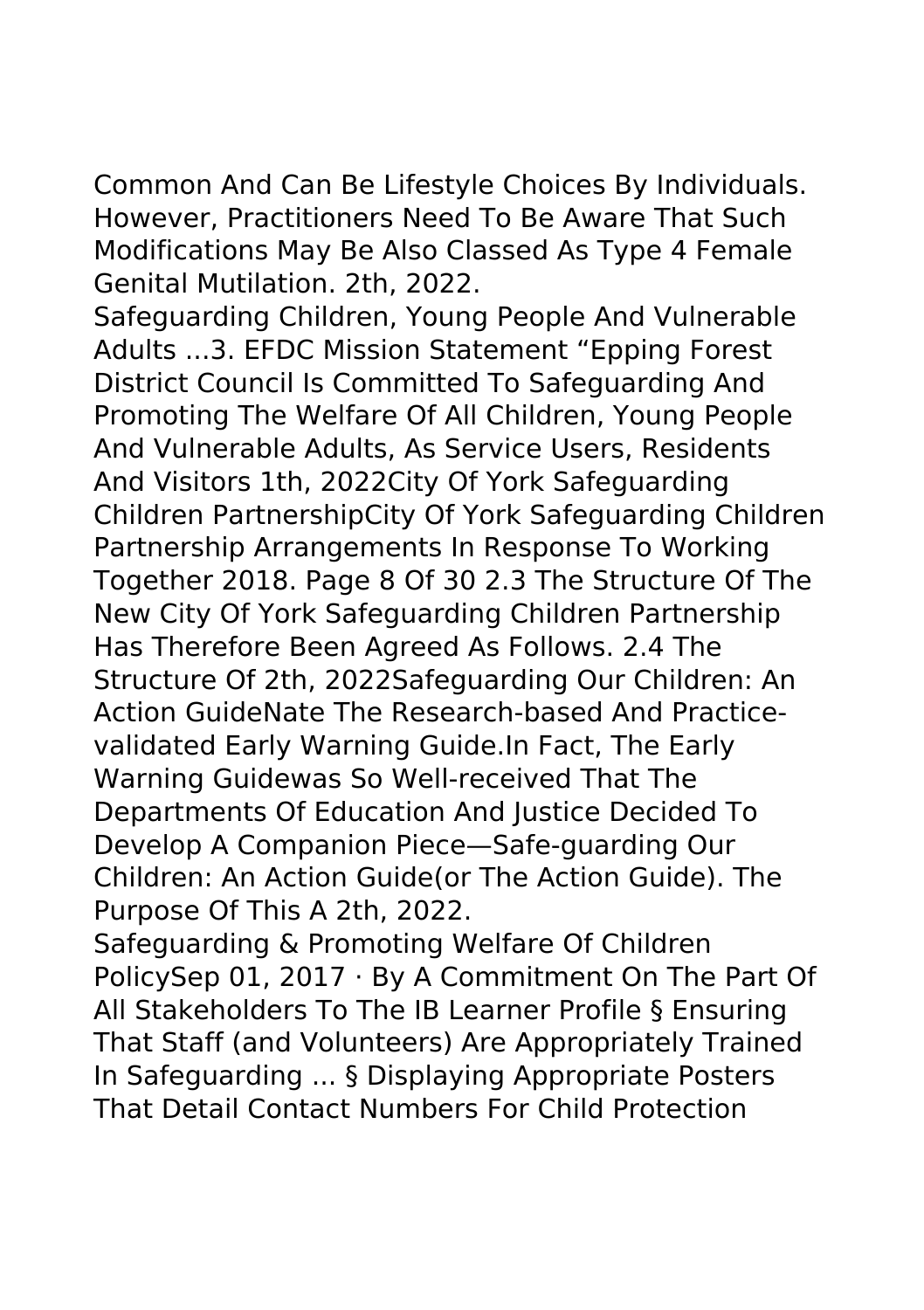Common And Can Be Lifestyle Choices By Individuals. However, Practitioners Need To Be Aware That Such Modifications May Be Also Classed As Type 4 Female Genital Mutilation. 2th, 2022.

Safeguarding Children, Young People And Vulnerable Adults ...3. EFDC Mission Statement "Epping Forest District Council Is Committed To Safeguarding And Promoting The Welfare Of All Children, Young People And Vulnerable Adults, As Service Users, Residents And Visitors 1th, 2022City Of York Safeguarding Children PartnershipCity Of York Safeguarding Children Partnership Arrangements In Response To Working Together 2018. Page 8 Of 30 2.3 The Structure Of The New City Of York Safeguarding Children Partnership Has Therefore Been Agreed As Follows. 2.4 The Structure Of 2th, 2022Safeguarding Our Children: An Action GuideNate The Research-based And Practicevalidated Early Warning Guide.In Fact, The Early Warning Guidewas So Well-received That The Departments Of Education And Justice Decided To Develop A Companion Piece—Safe-guarding Our Children: An Action Guide(or The Action Guide). The Purpose Of This A 2th, 2022.

Safeguarding & Promoting Welfare Of Children PolicySep 01, 2017 · By A Commitment On The Part Of All Stakeholders To The IB Learner Profile § Ensuring That Staff (and Volunteers) Are Appropriately Trained In Safeguarding ... § Displaying Appropriate Posters That Detail Contact Numbers For Child Protection